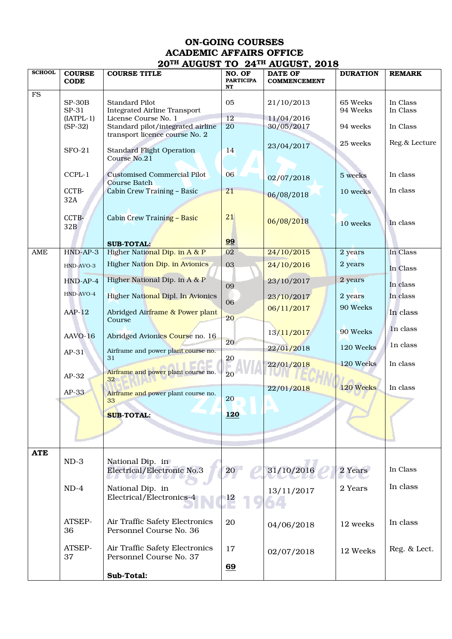## ON-GOING COURSES ACADEMIC AFFAIRS OFFICE 20TH AUGUST TO 24TH AUGUST, 2018

| <b>SCHOOL</b> | <b>COURSE</b><br><b>CODE</b> | <b>COURSE TITLE</b>                                                 | NO. OF<br><b>PARTICIPA</b> | , <b></b> .<br><b>DATE OF</b><br><b>COMMENCEMENT</b> | <b>DURATION</b>      | <b>REMARK</b>        |
|---------------|------------------------------|---------------------------------------------------------------------|----------------------------|------------------------------------------------------|----------------------|----------------------|
|               |                              |                                                                     | NT                         |                                                      |                      |                      |
| ${\rm FS}$    | $SP-30B$<br>SP-31            | <b>Standard Pilot</b><br><b>Integrated Airline Transport</b>        | 05                         | 21/10/2013                                           | 65 Weeks<br>94 Weeks | In Class<br>In Class |
|               | $[IATPL-1]$                  | License Course No. 1                                                | 12                         | 11/04/2016                                           |                      |                      |
|               | $(SP-32)$                    | Standard pilot/integrated airline<br>transport licence course No. 2 | 20                         | 30/05/2017                                           | 94 weeks             | In Class             |
|               | $SFO-21$                     | <b>Standard Flight Operation</b>                                    | 14                         | 23/04/2017                                           | 25 weeks             | Reg.& Lecture        |
|               |                              | Course No.21                                                        |                            |                                                      |                      |                      |
|               | CCPL-1                       | <b>Customised Commercial Pilot</b><br><b>Course Batch</b>           | 06                         | 02/07/2018                                           | 5 weeks              | In class             |
|               | CCTB-<br>32A                 | Cabin Crew Training - Basic                                         | 21                         | 06/08/2018                                           | 10 weeks             | In class             |
|               | CCTB-                        | <b>Cabin Crew Training - Basic</b>                                  | 21                         | 06/08/2018                                           | 10 weeks             | In class             |
|               | 32B                          |                                                                     | 99                         |                                                      |                      |                      |
|               |                              | <b>SUB-TOTAL:</b>                                                   | 02                         |                                                      |                      |                      |
| AME           | $HND-AP-3$                   | Higher National Dip. in A & P                                       |                            | 24/10/2015                                           | 2 years              | In Class             |
|               | HND-AVO-3                    | Higher Nation Dip. in Avionics<br>Higher National Dip. in A & P     | 03                         | 24/10/2016                                           | 2 years              | In Class             |
|               | $HND-AP-4$<br>HND-AVO-4      | Higher National Dipl. In Avionics                                   | 09                         | 23/10/2017                                           | 2 years<br>2 years   | In class<br>In class |
|               |                              |                                                                     | 06                         | 23/10/2017                                           |                      |                      |
|               | $AAP-12$                     | Abridged Airframe & Power plant<br>Course                           | 20                         | 06/11/2017                                           | 90 Weeks             | In class             |
|               | AAVO-16                      | Abridged Avionics Course no. 16                                     | 20                         | 13/11/2017                                           | 90 Weeks             | In class             |
|               | $AP-31$                      | Airframe and power plant course no.<br>31                           | 20                         | 22/01/2018                                           | 120 Weeks            | In class             |
|               | $AP-32$                      | Airframe and power plant course no.                                 | 20                         | 22/01/2018                                           | 120 Weeks            | In class             |
|               | AP-33                        | 32 <sub>2</sub><br>Airframe and power plant course no.              |                            | 22/01/2018                                           | 120 Weeks            | In class             |
|               |                              | 33                                                                  | 20                         |                                                      |                      |                      |
|               |                              | <b>SUB-TOTAL:</b>                                                   | <b>120</b>                 |                                                      |                      |                      |
|               |                              |                                                                     |                            |                                                      |                      |                      |
| <b>ATE</b>    |                              |                                                                     |                            |                                                      |                      |                      |
|               | $ND-3$                       | National Dip. in<br>Electrical/Electronic No.3                      | 20 <sub>2</sub>            | 31/10/2016                                           | 2 Years              | In Class             |
|               | $ND-4$                       | National Dip. in                                                    |                            |                                                      | 2 Years              | In class             |
|               |                              | Electrical/Electronics-4                                            | $^{12}$                    | 13/11/2017                                           |                      |                      |
|               | ATSEP-<br>36                 | Air Traffic Safety Electronics<br>Personnel Course No. 36           | 20                         | 04/06/2018                                           | 12 weeks             | In class             |
|               | ATSEP-<br>37                 | Air Traffic Safety Electronics<br>Personnel Course No. 37           | 17                         | 02/07/2018                                           | 12 Weeks             | Reg. & Lect.         |
|               |                              | Sub-Total:                                                          | 69                         |                                                      |                      |                      |
|               |                              |                                                                     |                            |                                                      |                      |                      |